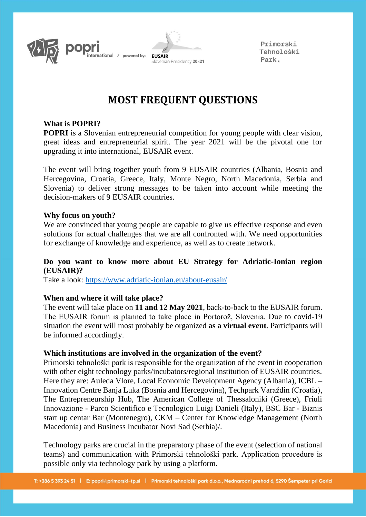



Primorski Tehnoloski Park.

# **MOST FREQUENT QUESTIONS**

#### **What is POPRI?**

**POPRI** is a Slovenian entrepreneurial competition for young people with clear vision, great ideas and entrepreneurial spirit. The year 2021 will be the pivotal one for upgrading it into international, EUSAIR event.

The event will bring together youth from 9 EUSAIR countries (Albania, Bosnia and Hercegovina, Croatia, Greece, Italy, Monte Negro, North Macedonia, Serbia and Slovenia) to deliver strong messages to be taken into account while meeting the decision-makers of 9 EUSAIR countries.

#### **Why focus on youth?**

We are convinced that young people are capable to give us effective response and even solutions for actual challenges that we are all confronted with. We need opportunities for exchange of knowledge and experience, as well as to create network.

# **Do you want to know more about EU Strategy for Adriatic-Ionian region (EUSAIR)?**

Take a look:<https://www.adriatic-ionian.eu/about-eusair/>

#### **When and where it will take place?**

The event will take place on **11 and 12 May 2021**, back-to-back to the EUSAIR forum. The EUSAIR forum is planned to take place in Portorož, Slovenia. Due to covid-19 situation the event will most probably be organized **as a virtual event**. Participants will be informed accordingly.

#### **Which institutions are involved in the organization of the event?**

Primorski tehnološki park is responsible for the organization of the event in cooperation with other eight technology parks/incubators/regional institution of EUSAIR countries. Here they are: Auleda Vlore, Local Economic Development Agency (Albania), ICBL – Innovation Centre Banja Luka (Bosnia and Hercegovina), Techpark Varaždin (Croatia), The Entrepreneurship Hub, The American College of Thessaloniki (Greece), Friuli Innovazione - Parco Scientifico e Tecnologico Luigi Danieli (Italy), BSC Bar - Biznis start up centar Bar (Montenegro), CKM – Center for Knowledge Management (North Macedonia) and Business Incubator Novi Sad (Serbia)/.

Technology parks are crucial in the preparatory phase of the event (selection of national teams) and communication with Primorski tehnološki park. Application procedure is possible only via technology park by using a platform.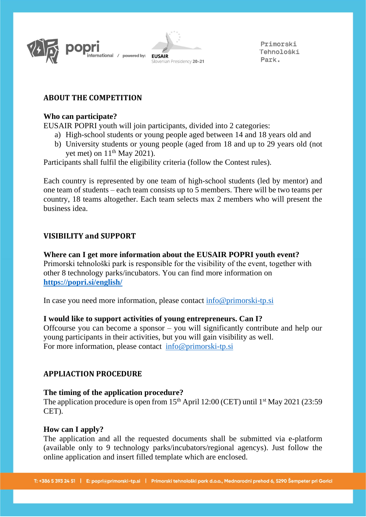



Primorski Tehnološki Park.

# **ABOUT THE COMPETITION**

#### **Who can participate?**

EUSAIR POPRI youth will join participants, divided into 2 categories:

- a) High-school students or young people aged between 14 and 18 years old and
- b) University students or young people (aged from 18 and up to 29 years old (not yet met) on  $11<sup>th</sup>$  May 2021).

Participants shall fulfil the eligibility criteria (follow the Contest rules).

Each country is represented by one team of high-school students (led by mentor) and one team of students – each team consists up to 5 members. There will be two teams per country, 18 teams altogether. Each team selects max 2 members who will present the business idea.

# **VISIBILITY and SUPPORT**

**Where can I get more information about the EUSAIR POPRI youth event?** Primorski tehnološki park is responsible for the visibility of the event, together with other 8 technology parks/incubators. You can find more information on **<https://popri.si/english/>**

In case you need more information, please contact [info@primorski-tp.si](mailto:info@primorski-tp.si)

# **I would like to support activities of young entrepreneurs. Can I?**

Offcourse you can become a sponsor – you will significantly contribute and help our young participants in their activities, but you will gain visibility as well. For more information, please contact [info@primorski-tp.si](mailto:info@primorski-tp.si)

# **APPLIACTION PROCEDURE**

# **The timing of the application procedure?**

The application procedure is open from  $15<sup>th</sup>$  April 12:00 (CET) until 1<sup>st</sup> May 2021 (23:59) CET).

# **How can I apply?**

The application and all the requested documents shall be submitted via e-platform (available only to 9 technology parks/incubators/regional agencys). Just follow the online application and insert filled template which are enclosed.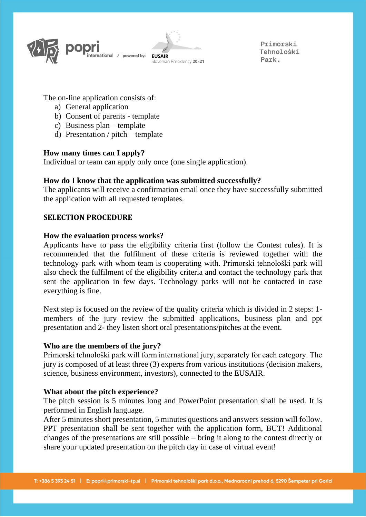

Primorski Tehnološki Park.

The on-line application consists of:

- a) General application
- b) Consent of parents template
- c) Business plan template
- d) Presentation / pitch template

# **How many times can I apply?**

Individual or team can apply only once (one single application).

# **How do I know that the application was submitted successfully?**

The applicants will receive a confirmation email once they have successfully submitted the application with all requested templates.

# **SELECTION PROCEDURE**

#### **How the evaluation process works?**

Applicants have to pass the eligibility criteria first (follow the Contest rules). It is recommended that the fulfilment of these criteria is reviewed together with the technology park with whom team is cooperating with. Primorski tehnološki park will also check the fulfilment of the eligibility criteria and contact the technology park that sent the application in few days. Technology parks will not be contacted in case everything is fine.

Next step is focused on the review of the quality criteria which is divided in 2 steps: 1 members of the jury review the submitted applications, business plan and ppt presentation and 2- they listen short oral presentations/pitches at the event.

#### **Who are the members of the jury?**

Primorski tehnološki park will form international jury, separately for each category. The jury is composed of at least three (3) experts from various institutions (decision makers, science, business environment, investors), connected to the EUSAIR.

#### **What about the pitch experience?**

The pitch session is 5 minutes long and PowerPoint presentation shall be used. It is performed in English language.

After 5 minutes short presentation, 5 minutes questions and answers session will follow. PPT presentation shall be sent together with the application form, BUT! Additional changes of the presentations are still possible – bring it along to the contest directly or share your updated presentation on the pitch day in case of virtual event!